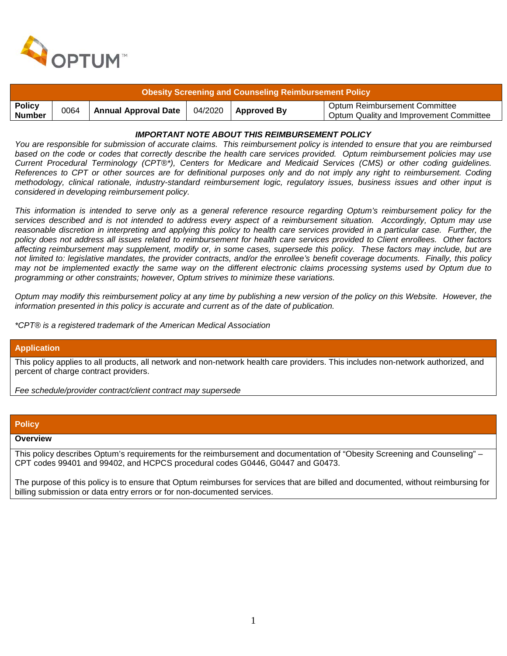

| Obesity Screening and Counseling Reimbursement Policy |      |                      |  |                       |                                                                          |
|-------------------------------------------------------|------|----------------------|--|-----------------------|--------------------------------------------------------------------------|
| <b>Policy</b><br><b>Number</b>                        | 0064 | Annual Approval Date |  | $04/2020$ Approved By | Optum Reimbursement Committee<br>Optum Quality and Improvement Committee |

## *IMPORTANT NOTE ABOUT THIS REIMBURSEMENT POLICY*

*You are responsible for submission of accurate claims. This reimbursement policy is intended to ensure that you are reimbursed based on the code or codes that correctly describe the health care services provided. Optum reimbursement policies may use Current Procedural Terminology (CPT®\*), Centers for Medicare and Medicaid Services (CMS) or other coding guidelines. References to CPT or other sources are for definitional purposes only and do not imply any right to reimbursement. Coding methodology, clinical rationale, industry-standard reimbursement logic, regulatory issues, business issues and other input is considered in developing reimbursement policy.*

*This information is intended to serve only as a general reference resource regarding Optum's reimbursement policy for the services described and is not intended to address every aspect of a reimbursement situation. Accordingly, Optum may use reasonable discretion in interpreting and applying this policy to health care services provided in a particular case. Further, the policy does not address all issues related to reimbursement for health care services provided to Client enrollees. Other factors affecting reimbursement may supplement, modify or, in some cases, supersede this policy. These factors may include, but are not limited to: legislative mandates, the provider contracts, and/or the enrollee's benefit coverage documents. Finally, this policy may not be implemented exactly the same way on the different electronic claims processing systems used by Optum due to programming or other constraints; however, Optum strives to minimize these variations.*

*Optum may modify this reimbursement policy at any time by publishing a new version of the policy on this Website. However, the information presented in this policy is accurate and current as of the date of publication.*

*\*CPT® is a registered trademark of the American Medical Association*

## **Application**

This policy applies to all products, all network and non-network health care providers. This includes non-network authorized, and percent of charge contract providers.

*Fee schedule/provider contract/client contract may supersede*

#### **Policy**

#### **Overview**

This policy describes Optum's requirements for the reimbursement and documentation of "Obesity Screening and Counseling" – CPT codes 99401 and 99402, and HCPCS procedural codes G0446, G0447 and G0473.

The purpose of this policy is to ensure that Optum reimburses for services that are billed and documented, without reimbursing for billing submission or data entry errors or for non-documented services.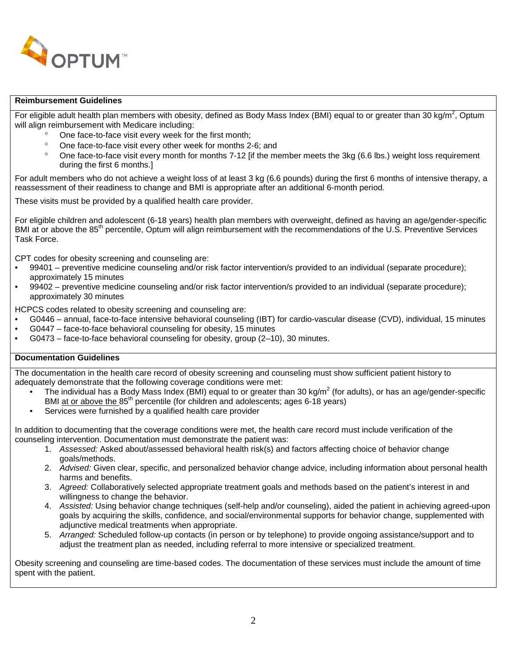

## **Reimbursement Guidelines**

For eligible adult health plan members with obesity, defined as Body Mass Index (BMI) equal to or greater than 30 kg/m<sup>2</sup>, Optum will align reimbursement with Medicare including:

- One face-to-face visit every week for the first month;
- ° One face-to-face visit every other week for months 2-6; and<br>8. One face to face visit every menth for months 7.12 lift the ma
- ° One face-to-face visit every month for months 7-12 [if the member meets the 3kg (6.6 lbs.) weight loss requirement during the first 6 months.]

For adult members who do not achieve a weight loss of at least 3 kg (6.6 pounds) during the first 6 months of intensive therapy, a reassessment of their readiness to change and BMI is appropriate after an additional 6-month period.

These visits must be provided by a qualified health care provider.

For eligible children and adolescent (6-18 years) health plan members with overweight, defined as having an age/gender-specific BMI at or above the 85<sup>th</sup> percentile. Optum will align reimbursement with the recommendations of the U.S. Preventive Services Task Force.

CPT codes for obesity screening and counseling are:

- 99401 preventive medicine counseling and/or risk factor intervention/s provided to an individual (separate procedure); approximately 15 minutes
- 99402 preventive medicine counseling and/or risk factor intervention/s provided to an individual (separate procedure); approximately 30 minutes

HCPCS codes related to obesity screening and counseling are:

- G0446 annual, face-to-face intensive behavioral counseling (IBT) for cardio-vascular disease (CVD), individual, 15 minutes
- G0447 face-to-face behavioral counseling for obesity, 15 minutes
- G0473 face-to-face behavioral counseling for obesity, group (2–10), 30 minutes.

# **Documentation Guidelines**

The documentation in the health care record of obesity screening and counseling must show sufficient patient history to adequately demonstrate that the following coverage conditions were met:

- The individual has a Body Mass Index (BMI) equal to or greater than 30 kg/m<sup>2</sup> (for adults), or has an age/gender-specific BMI at or above the  $85<sup>th</sup>$  percentile (for children and adolescents; ages 6-18 years)
- Services were furnished by a qualified health care provider

In addition to documenting that the coverage conditions were met, the health care record must include verification of the counseling intervention. Documentation must demonstrate the patient was:

- 1. *Assessed:* Asked about/assessed behavioral health risk(s) and factors affecting choice of behavior change goals/methods.
- 2. *Advised:* Given clear, specific, and personalized behavior change advice, including information about personal health harms and benefits.
- 3. *Agreed:* Collaboratively selected appropriate treatment goals and methods based on the patient's interest in and willingness to change the behavior.
- 4. *Assisted:* Using behavior change techniques (self-help and/or counseling), aided the patient in achieving agreed-upon goals by acquiring the skills, confidence, and social/environmental supports for behavior change, supplemented with adjunctive medical treatments when appropriate.
- 5. *Arranged:* Scheduled follow-up contacts (in person or by telephone) to provide ongoing assistance/support and to adjust the treatment plan as needed, including referral to more intensive or specialized treatment.

Obesity screening and counseling are time-based codes. The documentation of these services must include the amount of time spent with the patient.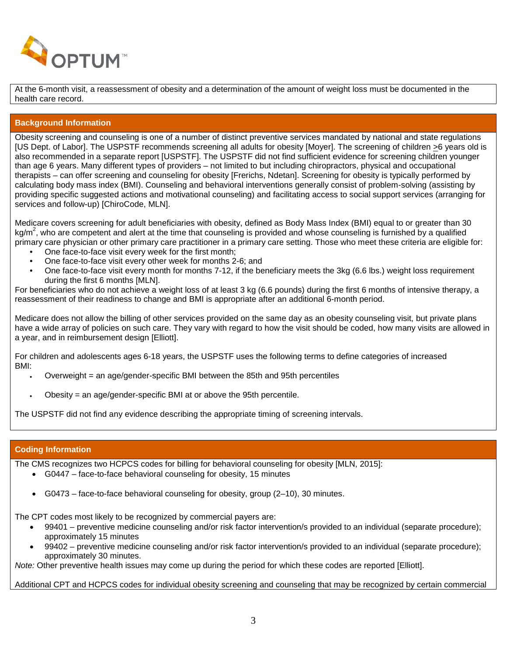

At the 6-month visit, a reassessment of obesity and a determination of the amount of weight loss must be documented in the health care record.

## **Background Information**

Obesity screening and counseling is one of a number of distinct preventive services mandated by national and state regulations [US Dept. of Labor]. The USPSTF recommends screening all adults for obesity [Moyer]. The screening of children >6 years old is also recommended in a separate report [USPSTF]. The USPSTF did not find sufficient evidence for screening children younger than age 6 years. Many different types of providers – not limited to but including chiropractors, physical and occupational therapists – can offer screening and counseling for obesity [Frerichs, Ndetan]. Screening for obesity is typically performed by calculating body mass index (BMI). Counseling and behavioral interventions generally consist of problem-solving (assisting by providing specific suggested actions and motivational counseling) and facilitating access to social support services (arranging for services and follow-up) [ChiroCode, MLN].

Medicare covers screening for adult beneficiaries with obesity, defined as Body Mass Index (BMI) equal to or greater than 30 kg/m<sup>2</sup>, who are competent and alert at the time that counseling is provided and whose counseling is furnished by a qualified primary care physician or other primary care practitioner in a primary care setting. Those who meet these criteria are eligible for:

- One face-to-face visit every week for the first month;
- One face-to-face visit every other week for months 2-6; and
- One face-to-face visit every month for months 7-12, if the beneficiary meets the 3kg (6.6 lbs.) weight loss requirement during the first 6 months [MLN].

For beneficiaries who do not achieve a weight loss of at least 3 kg (6.6 pounds) during the first 6 months of intensive therapy, a reassessment of their readiness to change and BMI is appropriate after an additional 6-month period.

Medicare does not allow the billing of other services provided on the same day as an obesity counseling visit, but private plans have a wide array of policies on such care. They vary with regard to how the visit should be coded, how many visits are allowed in a year, and in reimbursement design [Elliott].

For children and adolescents ages 6-18 years, the USPSTF uses the following terms to define categories of increased BMI:

- Overweight = an age/gender-specific BMI between the 85th and 95th percentiles
- Obesity = an age/gender-specific BMI at or above the 95th percentile.

The USPSTF did not find any evidence describing the appropriate timing of screening intervals.

## **Coding Information**

The CMS recognizes two HCPCS codes for billing for behavioral counseling for obesity [MLN, 2015]:

- G0447 face-to-face behavioral counseling for obesity, 15 minutes
- G0473 face-to-face behavioral counseling for obesity, group (2–10), 30 minutes.

The CPT codes most likely to be recognized by commercial payers are:

- 99401 preventive medicine counseling and/or risk factor intervention/s provided to an individual (separate procedure); approximately 15 minutes
- 99402 preventive medicine counseling and/or risk factor intervention/s provided to an individual (separate procedure); approximately 30 minutes.

*Note:* Other preventive health issues may come up during the period for which these codes are reported [Elliott].

## Additional CPT and HCPCS codes for individual obesity screening and counseling that may be recognized by certain commercial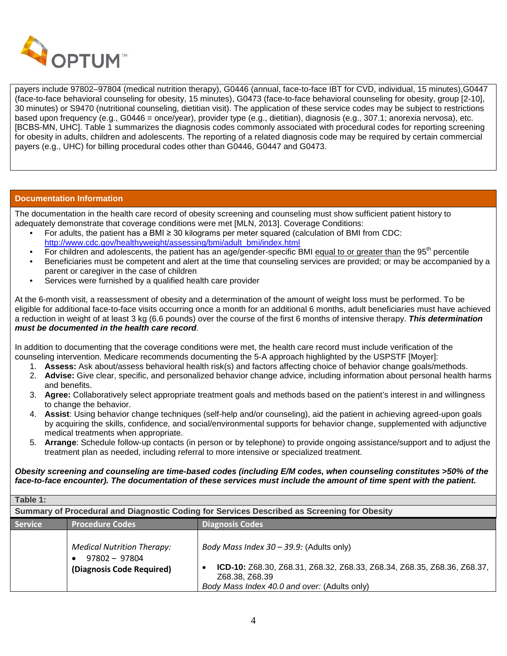

payers include 97802–97804 (medical nutrition therapy), G0446 (annual, face-to-face IBT for CVD, individual, 15 minutes),G0447 (face-to-face behavioral counseling for obesity, 15 minutes), G0473 (face-to-face behavioral counseling for obesity, group [2-10], 30 minutes) or S9470 (nutritional counseling, dietitian visit). The application of these service codes may be subject to restrictions based upon frequency (e.g., G0446 = once/year), provider type (e.g., dietitian), diagnosis (e.g., 307.1; anorexia nervosa), etc. [BCBS-MN, UHC]. Table 1 summarizes the diagnosis codes commonly associated with procedural codes for reporting screening for obesity in adults, children and adolescents. The reporting of a related diagnosis code may be required by certain commercial payers (e.g., UHC) for billing procedural codes other than G0446, G0447 and G0473.

## **Documentation Information**

The documentation in the health care record of obesity screening and counseling must show sufficient patient history to adequately demonstrate that coverage conditions were met [MLN, 2013]. Coverage Conditions:

- For adults, the patient has a BMI ≥ 30 kilograms per meter squared (calculation of BMI from CDC: [http://www.cdc.gov/healthyweight/assessing/bmi/adult\\_bmi/index.html](http://www.cdc.gov/healthyweight/assessing/bmi/adult_bmi/index.html)
- For children and adolescents, the patient has an age/gender-specific BMI equal to or greater than the  $95<sup>th</sup>$  percentile
- Beneficiaries must be competent and alert at the time that counseling services are provided; or may be accompanied by a parent or caregiver in the case of children
- Services were furnished by a qualified health care provider

At the 6-month visit, a reassessment of obesity and a determination of the amount of weight loss must be performed. To be eligible for additional face-to-face visits occurring once a month for an additional 6 months, adult beneficiaries must have achieved a reduction in weight of at least 3 kg (6.6 pounds) over the course of the first 6 months of intensive therapy. *This determination must be documented in the health care record.*

In addition to documenting that the coverage conditions were met, the health care record must include verification of the counseling intervention. Medicare recommends documenting the 5-A approach highlighted by the USPSTF [Moyer]:

- 1. **Assess:** Ask about/assess behavioral health risk(s) and factors affecting choice of behavior change goals/methods.
- 2. **Advise:** Give clear, specific, and personalized behavior change advice, including information about personal health harms and benefits.
- 3. **Agree:** Collaboratively select appropriate treatment goals and methods based on the patient's interest in and willingness to change the behavior.
- 4. **Assist**: Using behavior change techniques (self-help and/or counseling), aid the patient in achieving agreed-upon goals by acquiring the skills, confidence, and social/environmental supports for behavior change, supplemented with adjunctive medical treatments when appropriate.
- 5. **Arrange**: Schedule follow-up contacts (in person or by telephone) to provide ongoing assistance/support and to adjust the treatment plan as needed, including referral to more intensive or specialized treatment.

## *Obesity screening and counseling are time-based codes (including E/M codes, when counseling constitutes >50% of the face-to-face encounter). The documentation of these services must include the amount of time spent with the patient.*

| Table 1:                                                                                    |                                                                                   |                                                                                                                                                                                          |  |  |
|---------------------------------------------------------------------------------------------|-----------------------------------------------------------------------------------|------------------------------------------------------------------------------------------------------------------------------------------------------------------------------------------|--|--|
| Summary of Procedural and Diagnostic Coding for Services Described as Screening for Obesity |                                                                                   |                                                                                                                                                                                          |  |  |
| <b>Service</b>                                                                              | <b>Procedure Codes</b>                                                            | <b>Diagnosis Codes</b>                                                                                                                                                                   |  |  |
|                                                                                             | <b>Medical Nutrition Therapy:</b><br>$97802 - 97804$<br>(Diagnosis Code Required) | Body Mass Index $30 - 39.9$ : (Adults only)<br>ICD-10: Z68.30, Z68.31, Z68.32, Z68.33, Z68.34, Z68.35, Z68.36, Z68.37,<br>Z68.38, Z68.39<br>Body Mass Index 40.0 and over: (Adults only) |  |  |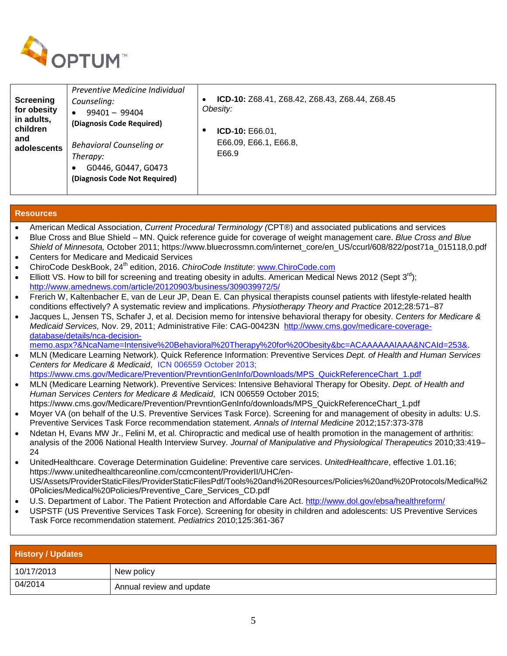

| <b>Screening</b><br>for obesity<br>in adults,<br>children<br>and<br>adolescents | Preventive Medicine Individual<br>Counseling:<br>$99401 - 99404$<br>$\bullet$<br>(Diagnosis Code Required)<br>Behavioral Counseling or<br>Therapy:<br>G0446, G0447, G0473<br>(Diagnosis Code Not Required) | <b>ICD-10:</b> Z68.41, Z68.42, Z68.43, Z68.44, Z68.45<br>Obesity:<br><b>ICD-10: E66.01,</b><br>٠<br>E66.09, E66.1, E66.8,<br>E66.9 |
|---------------------------------------------------------------------------------|------------------------------------------------------------------------------------------------------------------------------------------------------------------------------------------------------------|------------------------------------------------------------------------------------------------------------------------------------|
|---------------------------------------------------------------------------------|------------------------------------------------------------------------------------------------------------------------------------------------------------------------------------------------------------|------------------------------------------------------------------------------------------------------------------------------------|

## **Resources**

- American Medical Association, *Current Procedural Terminology (*CPT®) and associated publications and services
- Blue Cross and Blue Shield MN. Quick reference guide for coverage of weight management care. *Blue Cross and Blue Shield of Minnesota,* October 2011; https://www.bluecrossmn.com/internet\_core/en\_US/ccurl/608/822/post71a\_015118,0.pdf
- Centers for Medicare and Medicaid Services
- ChiroCode DeskBook, 24th edition, 2016. *ChiroCode Institute*: [www.ChiroCode.com](http://www.chirocode.com/)
- Elliott VS. How to bill for screening and treating obesity in adults. American Medical News 2012 (Sept  $3^{\text{rd}}$ ); <http://www.amednews.com/article/20120903/business/309039972/5/>
- Frerich W, Kaltenbacher E, van de Leur JP, Dean E. Can physical therapists counsel patients with lifestyle-related health conditions effectively? A systematic review and implications. *Physiotherapy Theory and Practice* 2012;28:571–87
- Jacques L, Jensen TS, Schafer J, et al. Decision memo for intensive behavioral therapy for obesity. *Centers for Medicare & Medicaid Services,* Nov. 29, 2011; Administrative File: CAG-00423N [http://www.cms.gov/medicare-coverage](http://www.cms.gov/medicare-coverage-database/details/nca-decision-memo.aspx?&NcaName=Intensive%20Behavioral%20Therapy%20for%20Obesity&bc=ACAAAAAAIAAA&NCAId=253&)[database/details/nca-decision](http://www.cms.gov/medicare-coverage-database/details/nca-decision-memo.aspx?&NcaName=Intensive%20Behavioral%20Therapy%20for%20Obesity&bc=ACAAAAAAIAAA&NCAId=253&)
	- [memo.aspx?&NcaName=Intensive%20Behavioral%20Therapy%20for%20Obesity&bc=ACAAAAAAIAAA&NCAId=253&.](http://www.cms.gov/medicare-coverage-database/details/nca-decision-memo.aspx?&NcaName=Intensive%20Behavioral%20Therapy%20for%20Obesity&bc=ACAAAAAAIAAA&NCAId=253&)
- MLN (Medicare Learning Network). Quick Reference Information: Preventive Services *Dept. of Health and Human Services Centers for Medicare & Medicaid*, ICN 006559 October 2013; [https://www.cms.gov/Medicare/Prevention/PrevntionGenInfo/Downloads/MPS\\_QuickReferenceChart\\_1.pdf](https://www.cms.gov/Medicare/Prevention/PrevntionGenInfo/Downloads/MPS_QuickReferenceChart_1.pdf)
- MLN (Medicare Learning Network). Preventive Services: Intensive Behavioral Therapy for Obesity. *Dept. of Health and Human Services Centers for Medicare & Medicaid*, ICN 006559 October 2015;
- https://www.cms.gov/Medicare/Prevention/PrevntionGenInfo/downloads/MPS\_QuickReferenceChart\_1.pdf • Moyer VA (on behalf of the U.S. Preventive Services Task Force). Screening for and management of obesity in adults: U.S. Preventive Services Task Force recommendation statement. *Annals of Internal Medicine* 2012;157:373-378
- Ndetan H, Evans MW Jr., Felini M, et al. Chiropractic and medical use of health promotion in the management of arthritis: analysis of the 2006 National Health Interview Survey. *Journal of Manipulative and Physiological Therapeutics* 2010;33:419– 24
- UnitedHealthcare. Coverage Determination Guideline: Preventive care services. *UnitedHealthcare*, effective 1.01.16; https://www.unitedhealthcareonline.com/ccmcontent/ProviderII/UHC/en-US/Assets/ProviderStaticFiles/ProviderStaticFilesPdf/Tools%20and%20Resources/Policies%20and%20Protocols/Medical%2 0Policies/Medical%20Policies/Preventive\_Care\_Services\_CD.pdf
- U.S. Department of Labor. The Patient Protection and Affordable Care Act.<http://www.dol.gov/ebsa/healthreform/>
- USPSTF (US Preventive Services Task Force). Screening for obesity in children and adolescents: US Preventive Services Task Force recommendation statement. *Pediatrics* 2010;125:361-367

| <b>History / Updates</b> |                          |  |  |
|--------------------------|--------------------------|--|--|
| 10/17/2013               | New policy               |  |  |
| 04/2014                  | Annual review and update |  |  |